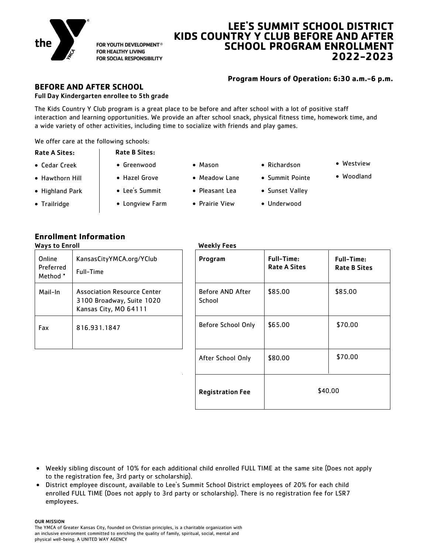

FOR YOUTH DEVELOPMENT® **FOR HEALTHY LIVING** FOR SOCIAL RESPONSIBILITY

# **LEE'S SUMMIT SCHOOL DISTRICT KIDS COUNTRY Y CLUB BEFORE AND AFTER SCHOOL PROGRAM ENROLLMENT 2022-2023**

## **Program Hours of Operation: 6:30 a.m.-6 p.m.**

## **BEFORE AND AFTER SCHOOL**  Full Day Kindergarten enrollee to 5th grade

The Kids Country Y Club program is a great place to be before and after school with a lot of positive staff interaction and learning opportunities. We provide an after school snack, physical fitness time, homework time, and a wide variety of other activities, including time to socialize with friends and play games.

We offer care at the following schools:

- Cedar Creek
- Hawthorn Hill Highland Park
- Greenwood

**Rate B Sites:** 

- Hazel Grove
	-
- Meadow Lane

Mason

- Pleasant Lea
	- Prairie View
- Richardson
- Summit Pointe

 Westview Woodland

- Sunset Valley
- Underwood
- Trailridge
- Lee's Summit

Longview Farm

| <b>Enrollment Information</b> |                    |
|-------------------------------|--------------------|
| Ways to Enroll                | <b>Weekly Fees</b> |

| Online<br>Preferred<br>Method * | KansasCityYMCA.org/YClub<br>Full-Time                                                    | Program                    | <b>Full-Tin</b><br>Rate A ! |
|---------------------------------|------------------------------------------------------------------------------------------|----------------------------|-----------------------------|
| Mail-In                         | <b>Association Resource Center</b><br>3100 Broadway, Suite 1020<br>Kansas City, MO 64111 | Before AND After<br>School | \$85.00                     |
| Fax                             | 816.931.1847                                                                             | Before School Only         | \$65.00                     |

| Program                    | <b>Full-Time:</b><br><b>Rate A Sites</b> | <b>Full-Time:</b><br><b>Rate B Sites</b> |
|----------------------------|------------------------------------------|------------------------------------------|
| Before AND After<br>School | \$85.00                                  | \$85.00                                  |
| Before School Only         | \$65.00                                  | \$70.00                                  |
| After School Only          | \$80.00                                  | \$70.00                                  |
| <b>Registration Fee</b>    | \$40.00                                  |                                          |

- Weekly sibling discount of 10% for each additional child enrolled FULL TIME at the same site (Does not apply to the registration fee, 3rd party or scholarship).
- District employee discount, available to Lee's Summit School District employees of 20% for each child enrolled FULL TIME (Does not apply to 3rd party or scholarship). There is no registration fee for LSR7 employees.

OUR MISSION

The YMCA of Greater Kansas City, founded on Christian principles, is a charitable organization with an inclusive environment committed to enriching the quality of family, spiritual, social, mental and physical well-being. A UNITED WAY AGENCY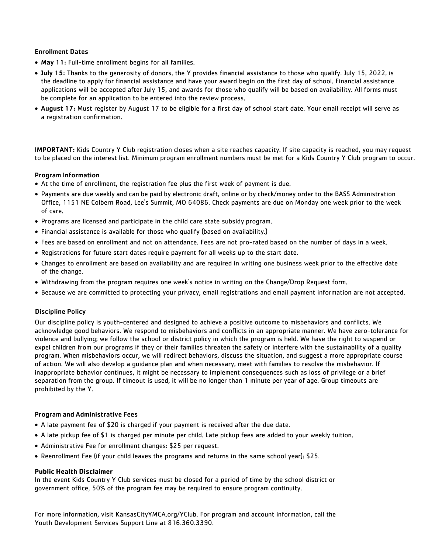## Enrollment Dates

- May 11: Full-time enrollment begins for all families.
- July 15: Thanks to the generosity of donors, the Y provides financial assistance to those who qualify. July 15, 2022, is the deadline to apply for financial assistance and have your award begin on the first day of school. Financial assistance applications will be accepted after July 15, and awards for those who qualify will be based on availability. All forms must be complete for an application to be entered into the review process.
- August 17: Must register by August 17 to be eligible for a first day of school start date. Your email receipt will serve as a registration confirmation.

IMPORTANT: Kids Country Y Club registration closes when a site reaches capacity. If site capacity is reached, you may request to be placed on the interest list. Minimum program enrollment numbers must be met for a Kids Country Y Club program to occur.

## Program Information

- At the time of enrollment, the registration fee plus the first week of payment is due.
- Payments are due weekly and can be paid by electronic draft, online or by check/money order to the BASS Administration Office, 1151 NE Colbern Road, Lee's Summit, MO 64086. Check payments are due on Monday one week prior to the week of care.
- Programs are licensed and participate in the child care state subsidy program.
- Financial assistance is available for those who qualify (based on availability.)
- Fees are based on enrollment and not on attendance. Fees are not pro-rated based on the number of days in a week.
- Registrations for future start dates require payment for all weeks up to the start date.
- Changes to enrollment are based on availability and are required in writing one business week prior to the effective date of the change.
- Withdrawing from the program requires one week's notice in writing on the Change/Drop Request form.
- Because we are committed to protecting your privacy, email registrations and email payment information are not accepted.

## Discipline Policy

Our discipline policy is youth-centered and designed to achieve a positive outcome to misbehaviors and conflicts. We acknowledge good behaviors. We respond to misbehaviors and conflicts in an appropriate manner. We have zero-tolerance for violence and bullying; we follow the school or district policy in which the program is held. We have the right to suspend or expel children from our programs if they or their families threaten the safety or interfere with the sustainability of a quality program. When misbehaviors occur, we will redirect behaviors, discuss the situation, and suggest a more appropriate course of action. We will also develop a guidance plan and when necessary, meet with families to resolve the misbehavior. If inappropriate behavior continues, it might be necessary to implement consequences such as loss of privilege or a brief separation from the group. If timeout is used, it will be no longer than 1 minute per year of age. Group timeouts are prohibited by the Y.

## Program and Administrative Fees

- A late payment fee of \$20 is charged if your payment is received after the due date.
- A late pickup fee of \$1 is charged per minute per child. Late pickup fees are added to your weekly tuition.
- Administrative Fee for enrollment changes: \$25 per request.
- Reenrollment Fee (if your child leaves the programs and returns in the same school year): \$25.

#### **Public Health Disclaimer**

In the event Kids Country Y Club services must be closed for a period of time by the school district or government office, 50% of the program fee may be required to ensure program continuity.

For more information, visit KansasCityYMCA.org/YClub. For program and account information, call the Youth Development Services Support Line at 816.360.3390.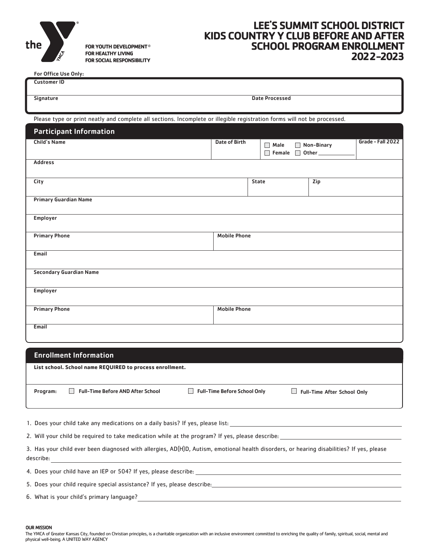

FOR YOUTH DEVELOPMENT® FOR HEALTHY LIVING FOR SOCIAL RESPONSIBILITY

# **LEE'S SUMMITSCHOOL DISTRICT KIDS COUNTRYY CLUBBEFOREANDAFTER SCHOOL PROGRAM ENROLLMENT 2022-2023**

For Office Use Only:

| <b>Customer ID</b>                                                                                                       |                      |                            |            |                   |
|--------------------------------------------------------------------------------------------------------------------------|----------------------|----------------------------|------------|-------------------|
| Signature                                                                                                                |                      | <b>Date Processed</b>      |            |                   |
|                                                                                                                          |                      |                            |            |                   |
| Please type or print neatly and complete all sections. Incomplete or illegible registration forms will not be processed. |                      |                            |            |                   |
| <b>Participant Information</b>                                                                                           |                      |                            |            |                   |
| <b>Child's Name</b>                                                                                                      | <b>Date of Birth</b> | Male<br>$\Box$             | Non-Binary | Grade - Fall 2022 |
|                                                                                                                          |                      | $\Box$<br>Female $\square$ | Other      |                   |
| <b>Address</b>                                                                                                           |                      |                            |            |                   |
|                                                                                                                          |                      |                            |            |                   |
| City                                                                                                                     |                      | <b>State</b>               | Zip        |                   |
| <b>Primary Guardian Name</b>                                                                                             |                      |                            |            |                   |
|                                                                                                                          |                      |                            |            |                   |
| Employer                                                                                                                 |                      |                            |            |                   |
|                                                                                                                          |                      |                            |            |                   |
| <b>Primary Phone</b>                                                                                                     | <b>Mobile Phone</b>  |                            |            |                   |
|                                                                                                                          |                      |                            |            |                   |
| Email                                                                                                                    |                      |                            |            |                   |
|                                                                                                                          |                      |                            |            |                   |
| <b>Secondary Guardian Name</b>                                                                                           |                      |                            |            |                   |
|                                                                                                                          |                      |                            |            |                   |
| <b>Employer</b>                                                                                                          |                      |                            |            |                   |
| <b>Primary Phone</b>                                                                                                     | <b>Mobile Phone</b>  |                            |            |                   |
|                                                                                                                          |                      |                            |            |                   |
| Email                                                                                                                    |                      |                            |            |                   |
|                                                                                                                          |                      |                            |            |                   |

#### Enrollment Information

**List school. School name REQUIRED to process enrollment.**

Program:  $\Box$  Full-Time Before AND After School  $\Box$  Full-Time Before School Only  $\Box$  Full-Time After School Only

Full-Time Before AND After School

1. Does your child take any medications on a daily basis? If yes, please list:

2. Will your child be required to take medication while at the program? If yes, please describe:

3. Has your child ever been diagnosed with allergies, AD(H)D, Autism, emotional health disorders, or hearing disabilities? If yes, please describe:

4. Does your child have an IEP or 504? If yes, please describe:

5. Does your child require special assistance? If yes, please describe:

6. What is your child's primary language?

OUR MISSION

The YMCA of Greater Kansas City, founded on Christian principles, is a charitable organization with an inclusive environment committed to enriching the quality of family, spiritual, social, mental and physical well-being. A UNITED WAY AGENCY